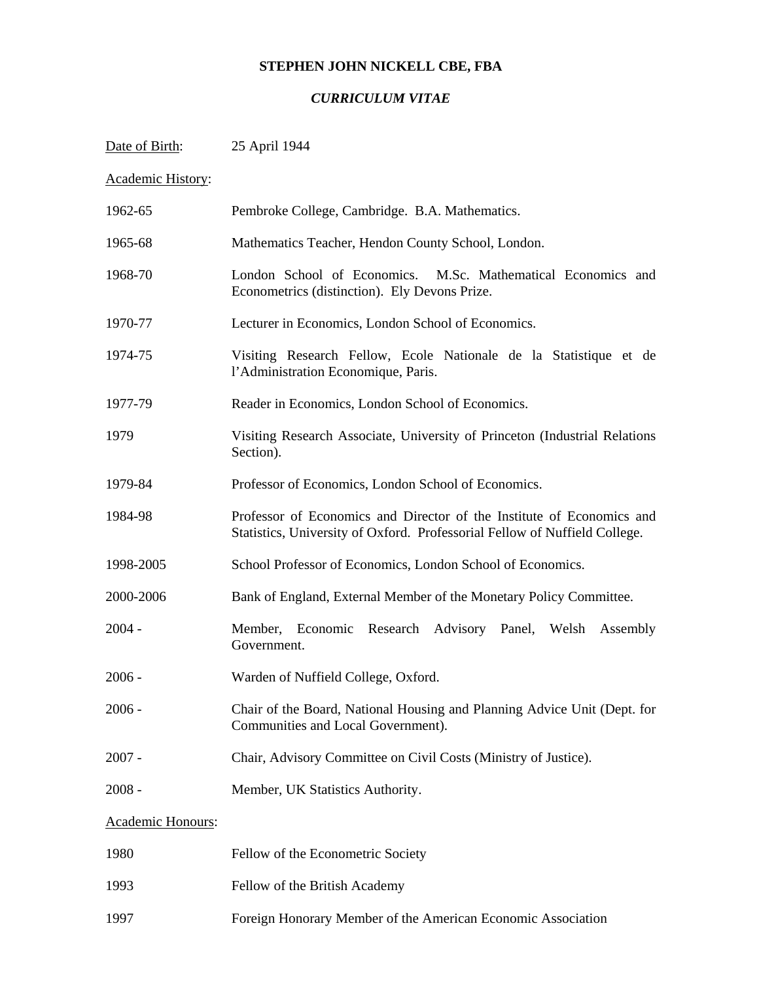# **STEPHEN JOHN NICKELL CBE, FBA**

# *CURRICULUM VITAE*

| Date of Birth:    | 25 April 1944                                                                                                                                       |
|-------------------|-----------------------------------------------------------------------------------------------------------------------------------------------------|
| Academic History: |                                                                                                                                                     |
| 1962-65           | Pembroke College, Cambridge. B.A. Mathematics.                                                                                                      |
| 1965-68           | Mathematics Teacher, Hendon County School, London.                                                                                                  |
| 1968-70           | London School of Economics. M.Sc. Mathematical Economics and<br>Econometrics (distinction). Ely Devons Prize.                                       |
| 1970-77           | Lecturer in Economics, London School of Economics.                                                                                                  |
| 1974-75           | Visiting Research Fellow, Ecole Nationale de la Statistique et de<br>l'Administration Economique, Paris.                                            |
| 1977-79           | Reader in Economics, London School of Economics.                                                                                                    |
| 1979              | Visiting Research Associate, University of Princeton (Industrial Relations<br>Section).                                                             |
| 1979-84           | Professor of Economics, London School of Economics.                                                                                                 |
| 1984-98           | Professor of Economics and Director of the Institute of Economics and<br>Statistics, University of Oxford. Professorial Fellow of Nuffield College. |
| 1998-2005         | School Professor of Economics, London School of Economics.                                                                                          |
| 2000-2006         | Bank of England, External Member of the Monetary Policy Committee.                                                                                  |
| $2004 -$          | Economic Research Advisory Panel, Welsh<br>Member,<br>Assembly<br>Government.                                                                       |
| $2006 -$          | Warden of Nuffield College, Oxford.                                                                                                                 |
| $2006 -$          | Chair of the Board, National Housing and Planning Advice Unit (Dept. for<br>Communities and Local Government).                                      |
| $2007 -$          | Chair, Advisory Committee on Civil Costs (Ministry of Justice).                                                                                     |
| $2008 -$          | Member, UK Statistics Authority.                                                                                                                    |
| Academic Honours: |                                                                                                                                                     |
| 1980              | Fellow of the Econometric Society                                                                                                                   |
| 1993              | Fellow of the British Academy                                                                                                                       |
| 1997              | Foreign Honorary Member of the American Economic Association                                                                                        |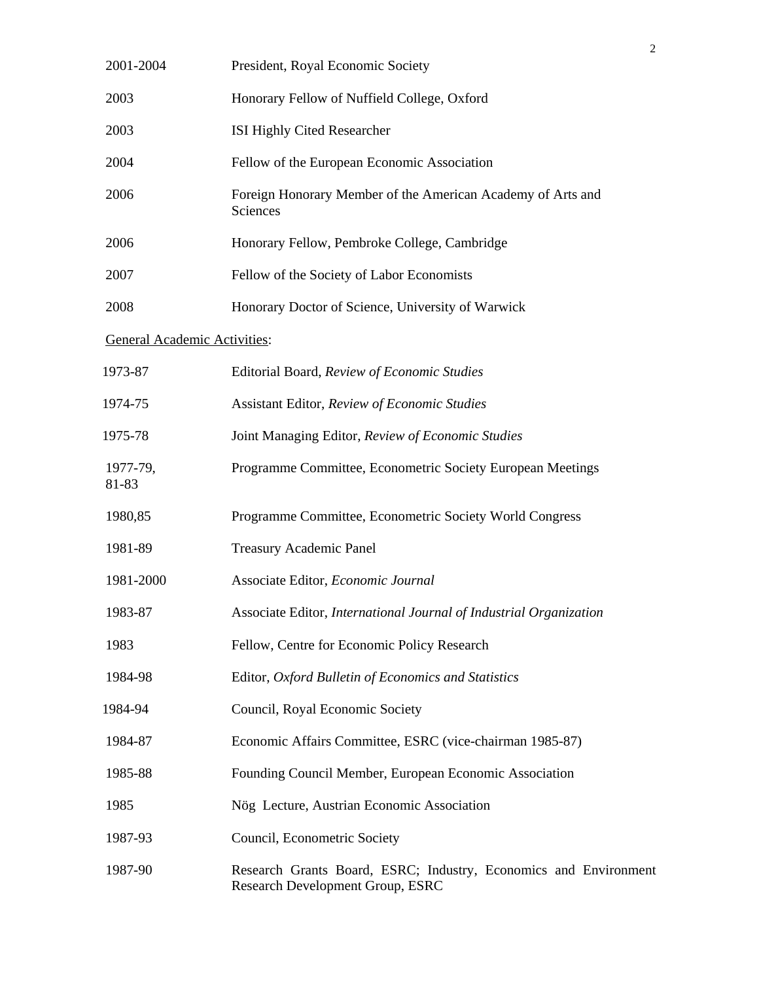| 2001-2004                           | President, Royal Economic Society                                                                    |  |
|-------------------------------------|------------------------------------------------------------------------------------------------------|--|
| 2003                                | Honorary Fellow of Nuffield College, Oxford                                                          |  |
| 2003                                | ISI Highly Cited Researcher                                                                          |  |
| 2004                                | Fellow of the European Economic Association                                                          |  |
| 2006                                | Foreign Honorary Member of the American Academy of Arts and<br>Sciences                              |  |
| 2006                                | Honorary Fellow, Pembroke College, Cambridge                                                         |  |
| 2007                                | Fellow of the Society of Labor Economists                                                            |  |
| 2008                                | Honorary Doctor of Science, University of Warwick                                                    |  |
| <b>General Academic Activities:</b> |                                                                                                      |  |
| 1973-87                             | Editorial Board, Review of Economic Studies                                                          |  |
| 1974-75                             | Assistant Editor, Review of Economic Studies                                                         |  |
| 1975-78                             | Joint Managing Editor, Review of Economic Studies                                                    |  |
| 1977-79,<br>81-83                   | Programme Committee, Econometric Society European Meetings                                           |  |
| 1980,85                             | Programme Committee, Econometric Society World Congress                                              |  |
| 1981-89                             | Treasury Academic Panel                                                                              |  |
| 1981-2000                           | Associate Editor, Economic Journal                                                                   |  |
| 1983-87                             | Associate Editor, International Journal of Industrial Organization                                   |  |
| 1983                                | Fellow, Centre for Economic Policy Research                                                          |  |
| 1984-98                             | Editor, Oxford Bulletin of Economics and Statistics                                                  |  |
| 1984-94                             | Council, Royal Economic Society                                                                      |  |
| 1984-87                             | Economic Affairs Committee, ESRC (vice-chairman 1985-87)                                             |  |
| 1985-88                             | Founding Council Member, European Economic Association                                               |  |
| 1985                                | Nög Lecture, Austrian Economic Association                                                           |  |
| 1987-93                             | Council, Econometric Society                                                                         |  |
| 1987-90                             | Research Grants Board, ESRC; Industry, Economics and Environment<br>Research Development Group, ESRC |  |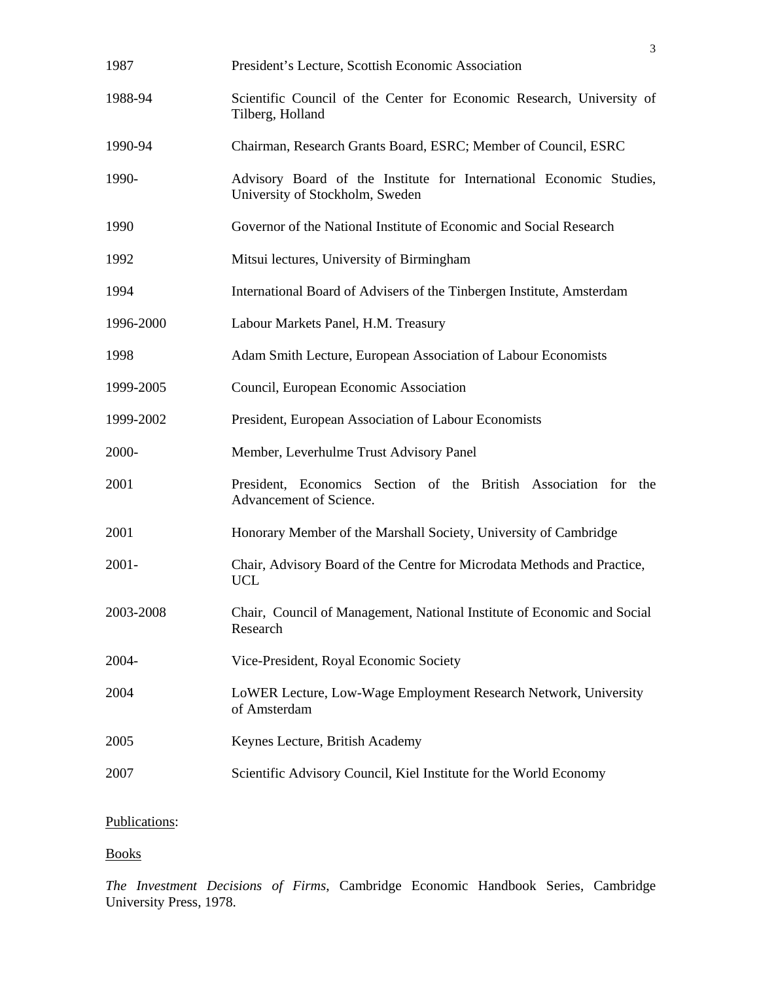|           | 3                                                                                                      |
|-----------|--------------------------------------------------------------------------------------------------------|
| 1987      | President's Lecture, Scottish Economic Association                                                     |
| 1988-94   | Scientific Council of the Center for Economic Research, University of<br>Tilberg, Holland              |
| 1990-94   | Chairman, Research Grants Board, ESRC; Member of Council, ESRC                                         |
| 1990-     | Advisory Board of the Institute for International Economic Studies,<br>University of Stockholm, Sweden |
| 1990      | Governor of the National Institute of Economic and Social Research                                     |
| 1992      | Mitsui lectures, University of Birmingham                                                              |
| 1994      | International Board of Advisers of the Tinbergen Institute, Amsterdam                                  |
| 1996-2000 | Labour Markets Panel, H.M. Treasury                                                                    |
| 1998      | Adam Smith Lecture, European Association of Labour Economists                                          |
| 1999-2005 | Council, European Economic Association                                                                 |
| 1999-2002 | President, European Association of Labour Economists                                                   |
| 2000-     | Member, Leverhulme Trust Advisory Panel                                                                |
| 2001      | President, Economics Section of the British Association for the<br>Advancement of Science.             |
| 2001      | Honorary Member of the Marshall Society, University of Cambridge                                       |
| $2001 -$  | Chair, Advisory Board of the Centre for Microdata Methods and Practice,<br><b>UCL</b>                  |
| 2003-2008 | Chair, Council of Management, National Institute of Economic and Social<br>Research                    |
| 2004-     | Vice-President, Royal Economic Society                                                                 |
| 2004      | LoWER Lecture, Low-Wage Employment Research Network, University<br>of Amsterdam                        |
| 2005      | Keynes Lecture, British Academy                                                                        |
| 2007      | Scientific Advisory Council, Kiel Institute for the World Economy                                      |
|           |                                                                                                        |

# Publications:

Books

*The Investment Decisions of Firms*, Cambridge Economic Handbook Series, Cambridge University Press, 1978.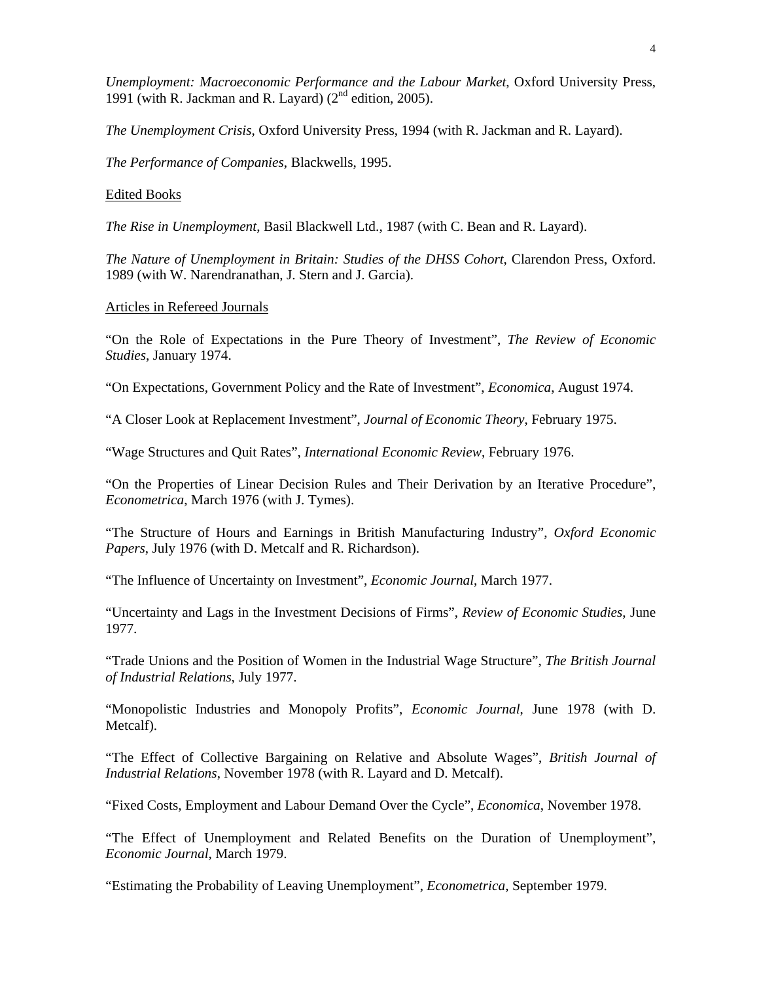*Unemployment: Macroeconomic Performance and the Labour Market*, Oxford University Press, 1991 (with R. Jackman and R. Layard)  $(2^{nd}$  edition, 2005).

*The Unemployment Crisis*, Oxford University Press, 1994 (with R. Jackman and R. Layard).

*The Performance of Companies*, Blackwells, 1995.

#### Edited Books

*The Rise in Unemployment*, Basil Blackwell Ltd., 1987 (with C. Bean and R. Layard).

*The Nature of Unemployment in Britain: Studies of the DHSS Cohort*, Clarendon Press, Oxford. 1989 (with W. Narendranathan, J. Stern and J. Garcia).

#### Articles in Refereed Journals

"On the Role of Expectations in the Pure Theory of Investment", *The Review of Economic Studies*, January 1974.

"On Expectations, Government Policy and the Rate of Investment", *Economica*, August 1974.

"A Closer Look at Replacement Investment", *Journal of Economic Theory*, February 1975.

"Wage Structures and Quit Rates", *International Economic Review*, February 1976.

"On the Properties of Linear Decision Rules and Their Derivation by an Iterative Procedure", *Econometrica*, March 1976 (with J. Tymes).

"The Structure of Hours and Earnings in British Manufacturing Industry", *Oxford Economic Papers*, July 1976 (with D. Metcalf and R. Richardson).

"The Influence of Uncertainty on Investment", *Economic Journal*, March 1977.

"Uncertainty and Lags in the Investment Decisions of Firms", *Review of Economic Studies*, June 1977.

"Trade Unions and the Position of Women in the Industrial Wage Structure", *The British Journal of Industrial Relations*, July 1977.

"Monopolistic Industries and Monopoly Profits", *Economic Journal*, June 1978 (with D. Metcalf).

"The Effect of Collective Bargaining on Relative and Absolute Wages", *British Journal of Industrial Relations*, November 1978 (with R. Layard and D. Metcalf).

"Fixed Costs, Employment and Labour Demand Over the Cycle", *Economica*, November 1978.

"The Effect of Unemployment and Related Benefits on the Duration of Unemployment", *Economic Journal*, March 1979.

"Estimating the Probability of Leaving Unemployment", *Econometrica*, September 1979.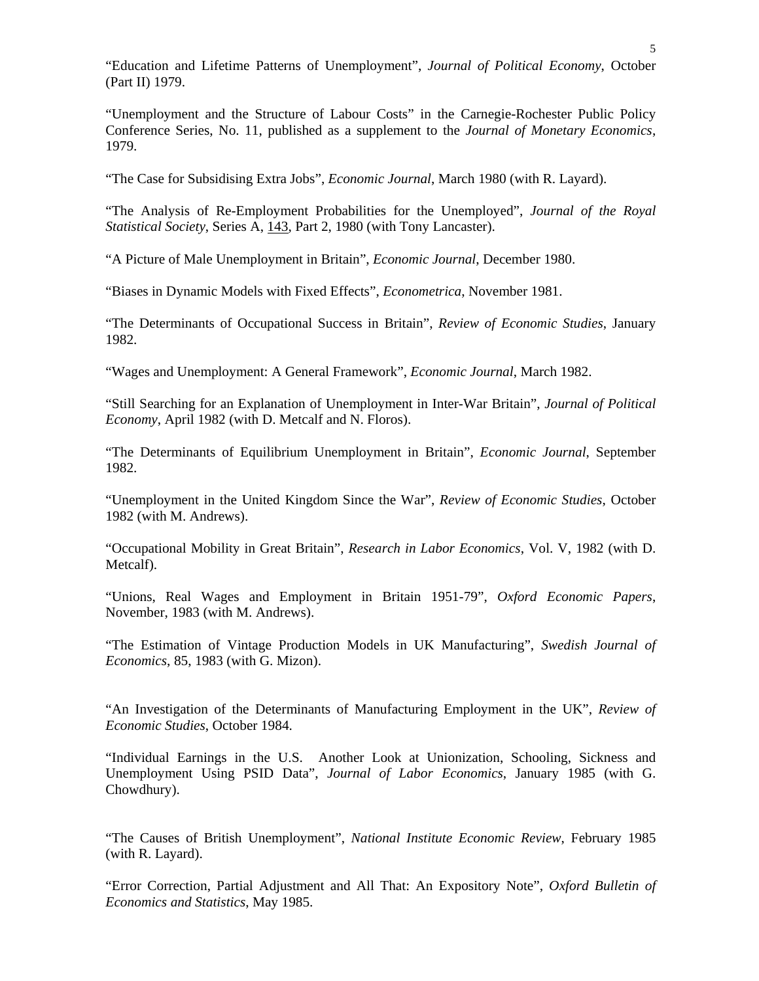"Education and Lifetime Patterns of Unemployment", *Journal of Political Economy*, October (Part II) 1979.

"Unemployment and the Structure of Labour Costs" in the Carnegie-Rochester Public Policy Conference Series, No. 11, published as a supplement to the *Journal of Monetary Economics*, 1979.

"The Case for Subsidising Extra Jobs", *Economic Journal*, March 1980 (with R. Layard).

"The Analysis of Re-Employment Probabilities for the Unemployed", *Journal of the Royal Statistical Society*, Series A, 143, Part 2, 1980 (with Tony Lancaster).

"A Picture of Male Unemployment in Britain", *Economic Journal*, December 1980.

"Biases in Dynamic Models with Fixed Effects", *Econometrica*, November 1981.

"The Determinants of Occupational Success in Britain", *Review of Economic Studies*, January 1982.

"Wages and Unemployment: A General Framework", *Economic Journal*, March 1982.

"Still Searching for an Explanation of Unemployment in Inter-War Britain", *Journal of Political Economy*, April 1982 (with D. Metcalf and N. Floros).

"The Determinants of Equilibrium Unemployment in Britain", *Economic Journal*, September 1982.

"Unemployment in the United Kingdom Since the War", *Review of Economic Studies*, October 1982 (with M. Andrews).

"Occupational Mobility in Great Britain", *Research in Labor Economics*, Vol. V, 1982 (with D. Metcalf).

"Unions, Real Wages and Employment in Britain 1951-79", *Oxford Economic Papers*, November, 1983 (with M. Andrews).

"The Estimation of Vintage Production Models in UK Manufacturing", *Swedish Journal of Economics*, 85, 1983 (with G. Mizon).

"An Investigation of the Determinants of Manufacturing Employment in the UK", *Review of Economic Studies*, October 1984.

"Individual Earnings in the U.S. Another Look at Unionization, Schooling, Sickness and Unemployment Using PSID Data", *Journal of Labor Economics*, January 1985 (with G. Chowdhury).

"The Causes of British Unemployment", *National Institute Economic Review*, February 1985 (with R. Layard).

"Error Correction, Partial Adjustment and All That: An Expository Note", *Oxford Bulletin of Economics and Statistics*, May 1985.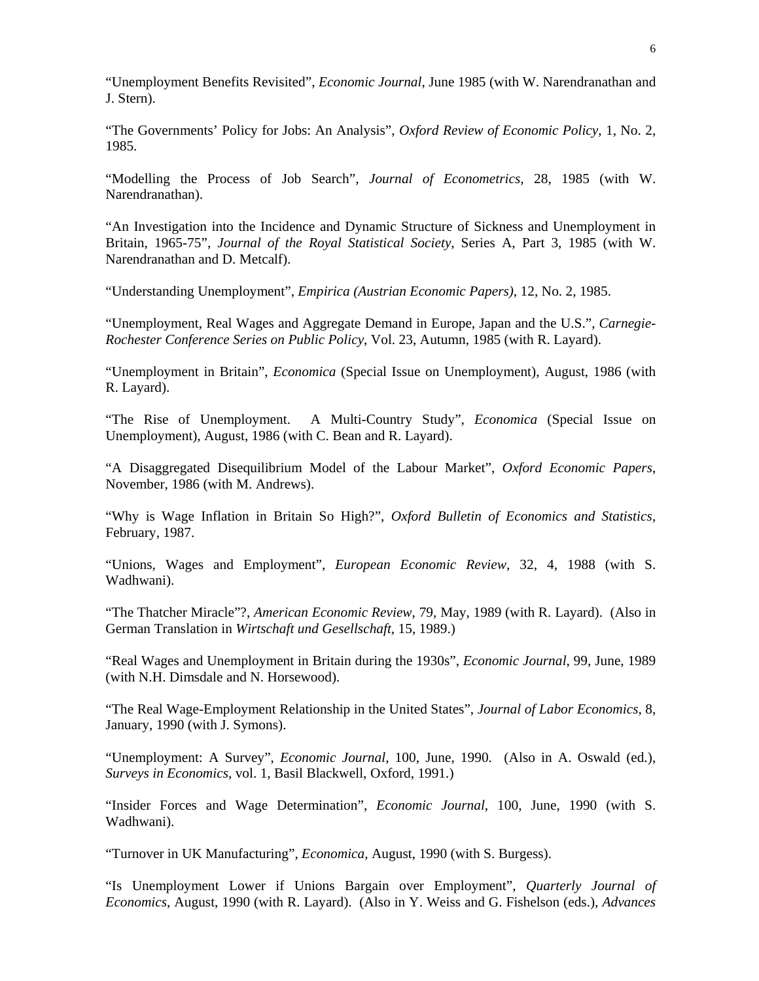"Unemployment Benefits Revisited", *Economic Journal*, June 1985 (with W. Narendranathan and J. Stern).

"The Governments' Policy for Jobs: An Analysis", *Oxford Review of Economic Policy*, 1, No. 2, 1985.

"Modelling the Process of Job Search", *Journal of Econometrics*, 28, 1985 (with W. Narendranathan).

"An Investigation into the Incidence and Dynamic Structure of Sickness and Unemployment in Britain, 1965-75", *Journal of the Royal Statistical Society*, Series A, Part 3, 1985 (with W. Narendranathan and D. Metcalf).

"Understanding Unemployment", *Empirica (Austrian Economic Papers)*, 12, No. 2, 1985.

"Unemployment, Real Wages and Aggregate Demand in Europe, Japan and the U.S.", *Carnegie-Rochester Conference Series on Public Policy*, Vol. 23, Autumn, 1985 (with R. Layard).

"Unemployment in Britain", *Economica* (Special Issue on Unemployment), August, 1986 (with R. Layard).

"The Rise of Unemployment. A Multi-Country Study", *Economica* (Special Issue on Unemployment), August, 1986 (with C. Bean and R. Layard).

"A Disaggregated Disequilibrium Model of the Labour Market", *Oxford Economic Papers*, November, 1986 (with M. Andrews).

"Why is Wage Inflation in Britain So High?", *Oxford Bulletin of Economics and Statistics*, February, 1987.

"Unions, Wages and Employment", *European Economic Review*, 32, 4, 1988 (with S. Wadhwani).

"The Thatcher Miracle"?, *American Economic Review*, 79, May, 1989 (with R. Layard). (Also in German Translation in *Wirtschaft und Gesellschaft*, 15, 1989.)

"Real Wages and Unemployment in Britain during the 1930s", *Economic Journal*, 99, June, 1989 (with N.H. Dimsdale and N. Horsewood).

"The Real Wage-Employment Relationship in the United States", *Journal of Labor Economics*, 8, January, 1990 (with J. Symons).

"Unemployment: A Survey", *Economic Journal*, 100, June, 1990. (Also in A. Oswald (ed.), *Surveys in Economics*, vol. 1, Basil Blackwell, Oxford, 1991.)

"Insider Forces and Wage Determination", *Economic Journal*, 100, June, 1990 (with S. Wadhwani).

"Turnover in UK Manufacturing", *Economica*, August, 1990 (with S. Burgess).

"Is Unemployment Lower if Unions Bargain over Employment", *Quarterly Journal of Economics*, August, 1990 (with R. Layard). (Also in Y. Weiss and G. Fishelson (eds.), *Advances*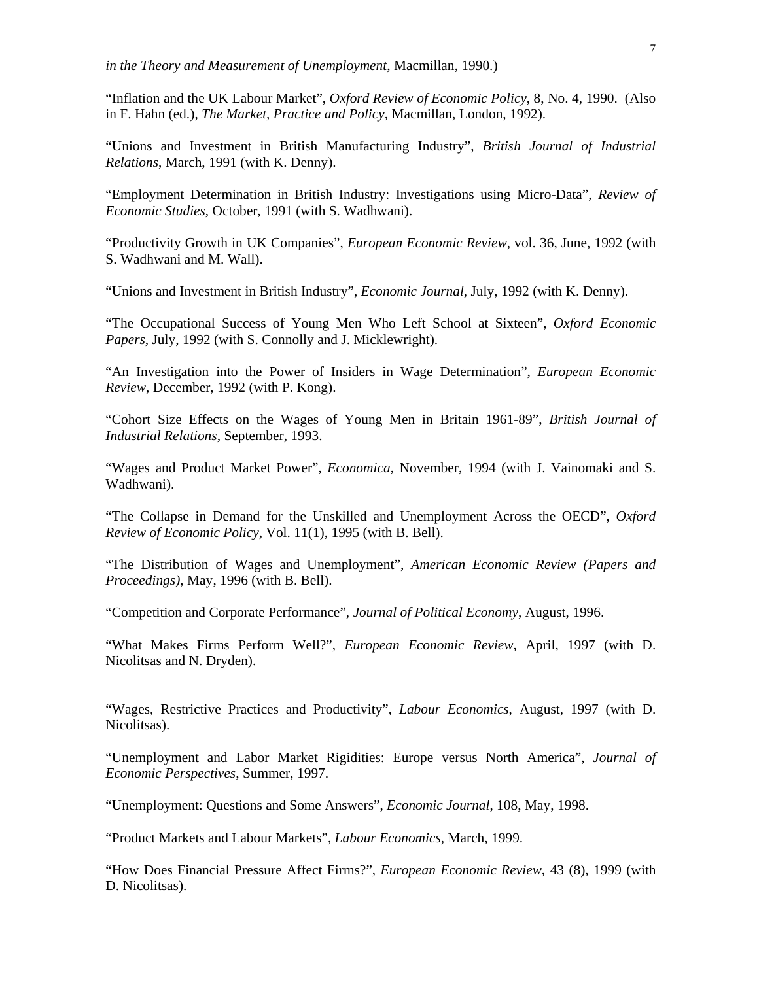"Inflation and the UK Labour Market", *Oxford Review of Economic Policy*, 8, No. 4, 1990. (Also in F. Hahn (ed.), *The Market, Practice and Policy*, Macmillan, London, 1992).

"Unions and Investment in British Manufacturing Industry", *British Journal of Industrial Relations*, March, 1991 (with K. Denny).

"Employment Determination in British Industry: Investigations using Micro-Data", *Review of Economic Studies*, October, 1991 (with S. Wadhwani).

"Productivity Growth in UK Companies", *European Economic Review*, vol. 36, June, 1992 (with S. Wadhwani and M. Wall).

"Unions and Investment in British Industry", *Economic Journal*, July, 1992 (with K. Denny).

"The Occupational Success of Young Men Who Left School at Sixteen", *Oxford Economic Papers*, July, 1992 (with S. Connolly and J. Micklewright).

"An Investigation into the Power of Insiders in Wage Determination", *European Economic Review*, December, 1992 (with P. Kong).

"Cohort Size Effects on the Wages of Young Men in Britain 1961-89", *British Journal of Industrial Relations*, September, 1993.

"Wages and Product Market Power", *Economica*, November, 1994 (with J. Vainomaki and S. Wadhwani).

"The Collapse in Demand for the Unskilled and Unemployment Across the OECD", *Oxford Review of Economic Policy*, Vol. 11(1), 1995 (with B. Bell).

"The Distribution of Wages and Unemployment", *American Economic Review (Papers and Proceedings)*, May, 1996 (with B. Bell).

"Competition and Corporate Performance", *Journal of Political Economy*, August, 1996.

"What Makes Firms Perform Well?", *European Economic Review*, April, 1997 (with D. Nicolitsas and N. Dryden).

"Wages, Restrictive Practices and Productivity", *Labour Economics*, August, 1997 (with D. Nicolitsas).

"Unemployment and Labor Market Rigidities: Europe versus North America", *Journal of Economic Perspectives*, Summer, 1997.

"Unemployment: Questions and Some Answers", *Economic Journal*, 108, May, 1998.

"Product Markets and Labour Markets", *Labour Economics*, March, 1999.

"How Does Financial Pressure Affect Firms?", *European Economic Review*, 43 (8), 1999 (with D. Nicolitsas).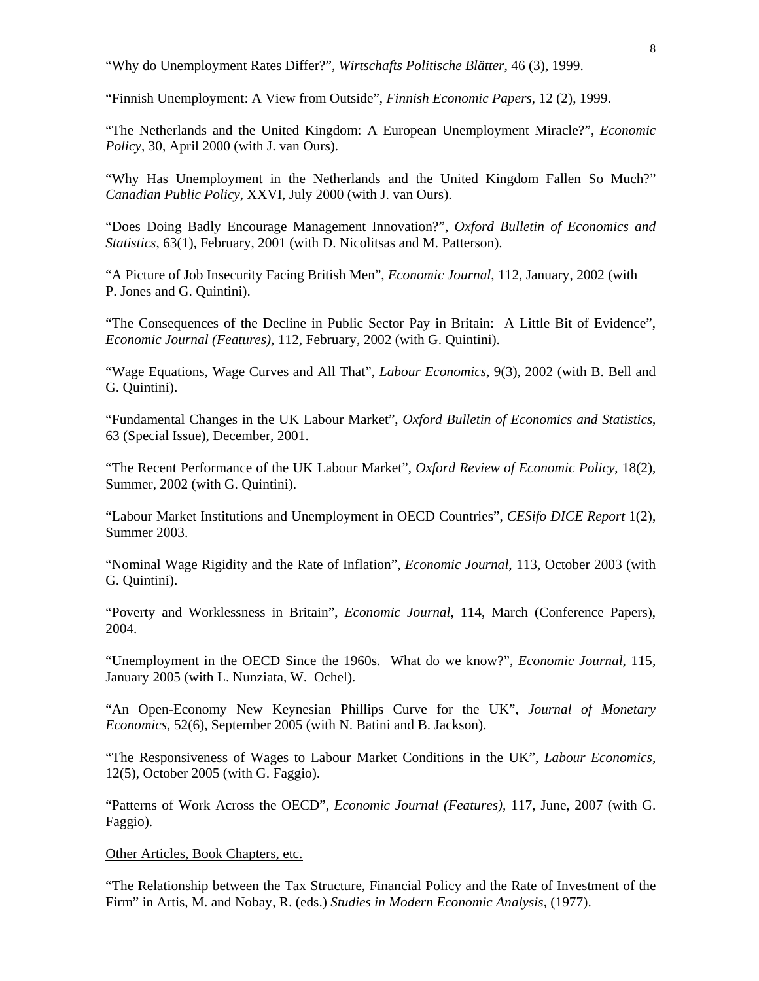"Why do Unemployment Rates Differ?", *Wirtschafts Politische Blätter*, 46 (3), 1999.

"Finnish Unemployment: A View from Outside", *Finnish Economic Papers*, 12 (2), 1999.

"The Netherlands and the United Kingdom: A European Unemployment Miracle?", *Economic Policy*, 30, April 2000 (with J. van Ours).

"Why Has Unemployment in the Netherlands and the United Kingdom Fallen So Much?" *Canadian Public Policy*, XXVI, July 2000 (with J. van Ours).

"Does Doing Badly Encourage Management Innovation?", *Oxford Bulletin of Economics and Statistics*, 63(1), February, 2001 (with D. Nicolitsas and M. Patterson).

"A Picture of Job Insecurity Facing British Men", *Economic Journal*, 112, January, 2002 (with P. Jones and G. Quintini).

"The Consequences of the Decline in Public Sector Pay in Britain: A Little Bit of Evidence", *Economic Journal (Features)*, 112, February, 2002 (with G. Quintini).

"Wage Equations, Wage Curves and All That", *Labour Economics*, 9(3), 2002 (with B. Bell and G. Quintini).

"Fundamental Changes in the UK Labour Market", *Oxford Bulletin of Economics and Statistics*, 63 (Special Issue), December, 2001.

"The Recent Performance of the UK Labour Market", *Oxford Review of Economic Policy*, 18(2), Summer, 2002 (with G. Quintini).

"Labour Market Institutions and Unemployment in OECD Countries", *CESifo DICE Report* 1(2), Summer 2003.

"Nominal Wage Rigidity and the Rate of Inflation", *Economic Journal*, 113, October 2003 (with G. Quintini).

"Poverty and Worklessness in Britain", *Economic Journal*, 114, March (Conference Papers), 2004.

"Unemployment in the OECD Since the 1960s. What do we know?", *Economic Journal*, 115, January 2005 (with L. Nunziata, W. Ochel).

"An Open-Economy New Keynesian Phillips Curve for the UK", *Journal of Monetary Economics*, 52(6), September 2005 (with N. Batini and B. Jackson).

"The Responsiveness of Wages to Labour Market Conditions in the UK", *Labour Economics*, 12(5), October 2005 (with G. Faggio).

"Patterns of Work Across the OECD", *Economic Journal (Features),* 117, June, 2007 (with G. Faggio).

#### Other Articles, Book Chapters, etc.

"The Relationship between the Tax Structure, Financial Policy and the Rate of Investment of the Firm" in Artis, M. and Nobay, R. (eds.) *Studies in Modern Economic Analysis*, (1977).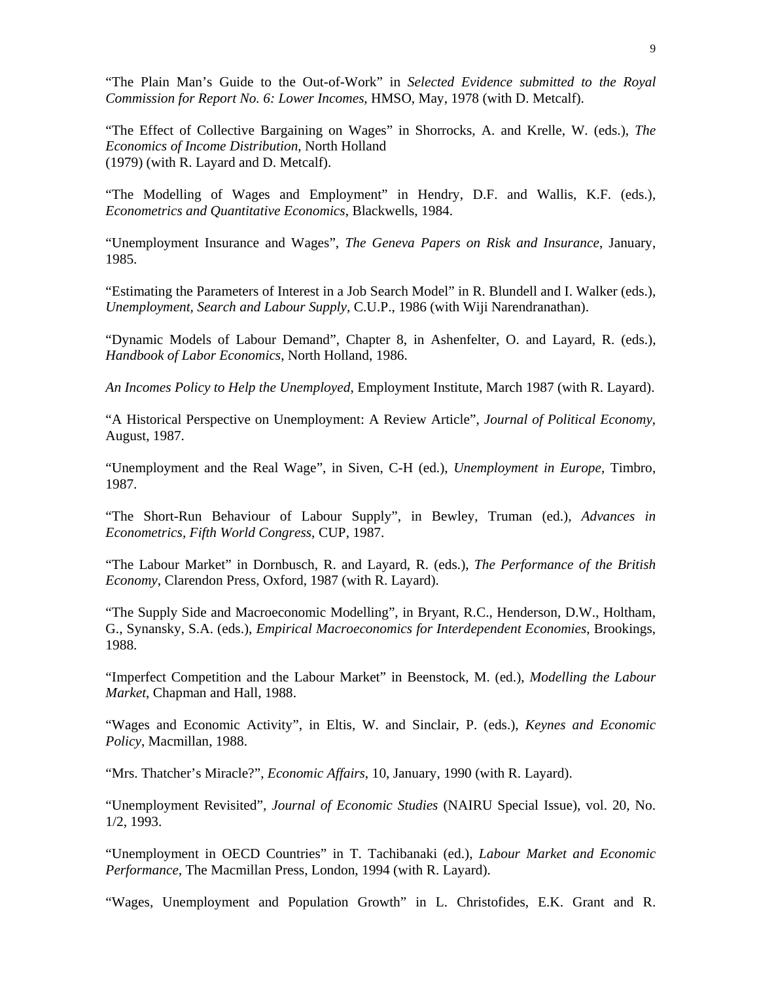"The Plain Man's Guide to the Out-of-Work" in *Selected Evidence submitted to the Royal Commission for Report No. 6: Lower Incomes*, HMSO, May, 1978 (with D. Metcalf).

"The Effect of Collective Bargaining on Wages" in Shorrocks, A. and Krelle, W. (eds.), *The Economics of Income Distribution*, North Holland (1979) (with R. Layard and D. Metcalf).

"The Modelling of Wages and Employment" in Hendry, D.F. and Wallis, K.F. (eds.), *Econometrics and Quantitative Economics*, Blackwells, 1984.

"Unemployment Insurance and Wages", *The Geneva Papers on Risk and Insurance*, January, 1985.

"Estimating the Parameters of Interest in a Job Search Model" in R. Blundell and I. Walker (eds.), *Unemployment, Search and Labour Supply*, C.U.P., 1986 (with Wiji Narendranathan).

"Dynamic Models of Labour Demand", Chapter 8, in Ashenfelter, O. and Layard, R. (eds.), *Handbook of Labor Economics*, North Holland, 1986.

*An Incomes Policy to Help the Unemployed*, Employment Institute, March 1987 (with R. Layard).

"A Historical Perspective on Unemployment: A Review Article", *Journal of Political Economy*, August, 1987.

"Unemployment and the Real Wage", in Siven, C-H (ed.), *Unemployment in Europe*, Timbro, 1987.

"The Short-Run Behaviour of Labour Supply", in Bewley, Truman (ed.), *Advances in Econometrics, Fifth World Congress*, CUP, 1987.

"The Labour Market" in Dornbusch, R. and Layard, R. (eds.), *The Performance of the British Economy*, Clarendon Press, Oxford, 1987 (with R. Layard).

"The Supply Side and Macroeconomic Modelling", in Bryant, R.C., Henderson, D.W., Holtham, G., Synansky, S.A. (eds.), *Empirical Macroeconomics for Interdependent Economies*, Brookings, 1988.

"Imperfect Competition and the Labour Market" in Beenstock, M. (ed.), *Modelling the Labour Market*, Chapman and Hall, 1988.

"Wages and Economic Activity", in Eltis, W. and Sinclair, P. (eds.), *Keynes and Economic Policy*, Macmillan, 1988.

"Mrs. Thatcher's Miracle?", *Economic Affairs*, 10, January, 1990 (with R. Layard).

"Unemployment Revisited", *Journal of Economic Studies* (NAIRU Special Issue), vol. 20, No. 1/2, 1993.

"Unemployment in OECD Countries" in T. Tachibanaki (ed.), *Labour Market and Economic Performance*, The Macmillan Press, London, 1994 (with R. Layard).

"Wages, Unemployment and Population Growth" in L. Christofides, E.K. Grant and R.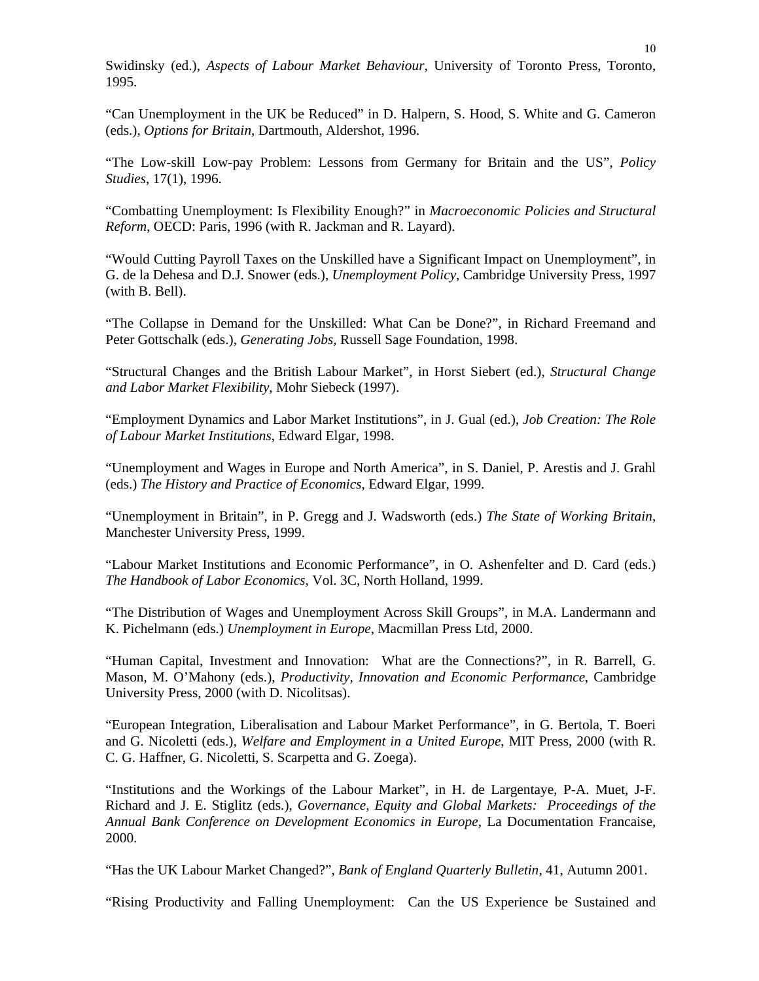Swidinsky (ed.), *Aspects of Labour Market Behaviour*, University of Toronto Press, Toronto, 1995.

"Can Unemployment in the UK be Reduced" in D. Halpern, S. Hood, S. White and G. Cameron (eds.), *Options for Britain*, Dartmouth, Aldershot, 1996.

"The Low-skill Low-pay Problem: Lessons from Germany for Britain and the US", *Policy Studies*, 17(1), 1996.

"Combatting Unemployment: Is Flexibility Enough?" in *Macroeconomic Policies and Structural Reform*, OECD: Paris, 1996 (with R. Jackman and R. Layard).

"Would Cutting Payroll Taxes on the Unskilled have a Significant Impact on Unemployment", in G. de la Dehesa and D.J. Snower (eds.), *Unemployment Policy*, Cambridge University Press, 1997 (with B. Bell).

"The Collapse in Demand for the Unskilled: What Can be Done?", in Richard Freemand and Peter Gottschalk (eds.), *Generating Jobs*, Russell Sage Foundation, 1998.

"Structural Changes and the British Labour Market", in Horst Siebert (ed.), *Structural Change and Labor Market Flexibility*, Mohr Siebeck (1997).

"Employment Dynamics and Labor Market Institutions", in J. Gual (ed.), *Job Creation: The Role of Labour Market Institutions*, Edward Elgar, 1998.

"Unemployment and Wages in Europe and North America", in S. Daniel, P. Arestis and J. Grahl (eds.) *The History and Practice of Economics*, Edward Elgar, 1999.

"Unemployment in Britain", in P. Gregg and J. Wadsworth (eds.) *The State of Working Britain*, Manchester University Press, 1999.

"Labour Market Institutions and Economic Performance", in O. Ashenfelter and D. Card (eds.) *The Handbook of Labor Economics*, Vol. 3C, North Holland, 1999.

"The Distribution of Wages and Unemployment Across Skill Groups", in M.A. Landermann and K. Pichelmann (eds.) *Unemployment in Europe*, Macmillan Press Ltd, 2000.

"Human Capital, Investment and Innovation: What are the Connections?", in R. Barrell, G. Mason, M. O'Mahony (eds.), *Productivity, Innovation and Economic Performance*, Cambridge University Press, 2000 (with D. Nicolitsas).

"European Integration, Liberalisation and Labour Market Performance", in G. Bertola, T. Boeri and G. Nicoletti (eds.), *Welfare and Employment in a United Europe*, MIT Press, 2000 (with R. C. G. Haffner, G. Nicoletti, S. Scarpetta and G. Zoega).

"Institutions and the Workings of the Labour Market", in H. de Largentaye, P-A. Muet, J-F. Richard and J. E. Stiglitz (eds.), *Governance, Equity and Global Markets: Proceedings of the Annual Bank Conference on Development Economics in Europe*, La Documentation Francaise, 2000.

"Has the UK Labour Market Changed?", *Bank of England Quarterly Bulletin,* 41, Autumn 2001.

"Rising Productivity and Falling Unemployment: Can the US Experience be Sustained and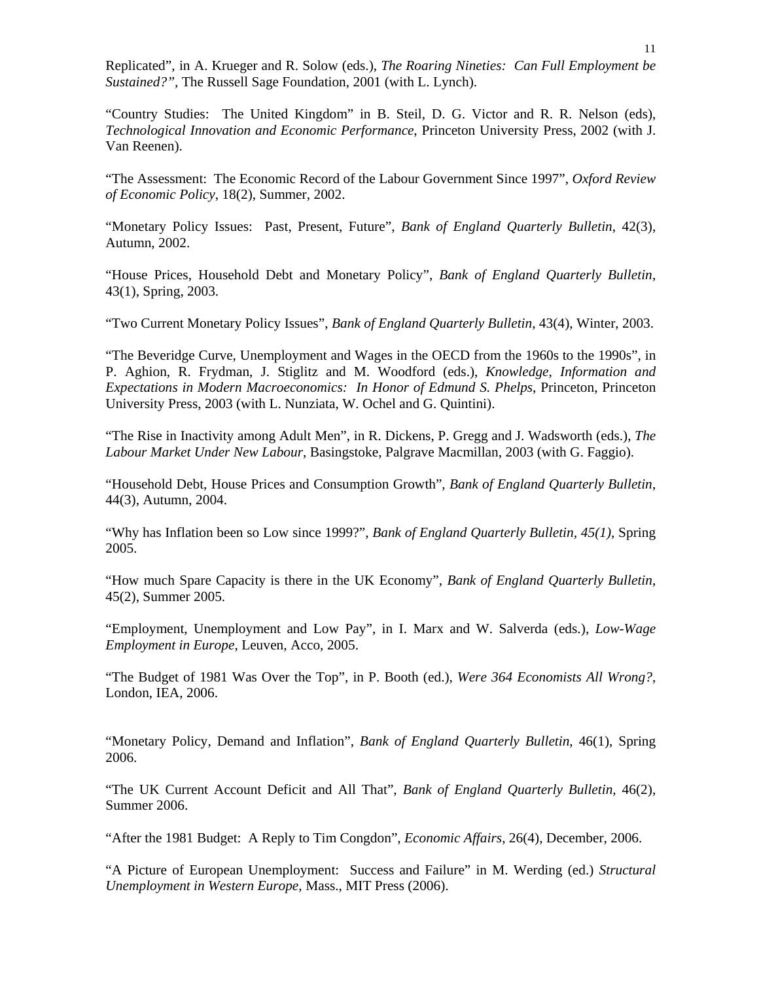Replicated", in A. Krueger and R. Solow (eds.), *The Roaring Nineties: Can Full Employment be Sustained?",* The Russell Sage Foundation, 2001 (with L. Lynch).

"Country Studies: The United Kingdom" in B. Steil, D. G. Victor and R. R. Nelson (eds), *Technological Innovation and Economic Performance*, Princeton University Press, 2002 (with J. Van Reenen).

"The Assessment: The Economic Record of the Labour Government Since 1997", *Oxford Review of Economic Policy*, 18(2), Summer, 2002.

"Monetary Policy Issues: Past, Present, Future", *Bank of England Quarterly Bulletin*, 42(3), Autumn, 2002.

"House Prices, Household Debt and Monetary Policy", *Bank of England Quarterly Bulletin*, 43(1), Spring, 2003.

"Two Current Monetary Policy Issues", *Bank of England Quarterly Bulletin*, 43(4), Winter, 2003.

"The Beveridge Curve, Unemployment and Wages in the OECD from the 1960s to the 1990s", in P. Aghion, R. Frydman, J. Stiglitz and M. Woodford (eds.), *Knowledge, Information and Expectations in Modern Macroeconomics: In Honor of Edmund S. Phelps*, Princeton, Princeton University Press, 2003 (with L. Nunziata, W. Ochel and G. Quintini).

"The Rise in Inactivity among Adult Men", in R. Dickens, P. Gregg and J. Wadsworth (eds.), *The Labour Market Under New Labour*, Basingstoke, Palgrave Macmillan, 2003 (with G. Faggio).

"Household Debt, House Prices and Consumption Growth", *Bank of England Quarterly Bulletin*, 44(3), Autumn, 2004.

"Why has Inflation been so Low since 1999?", *Bank of England Quarterly Bulletin, 45(1),* Spring 2005.

"How much Spare Capacity is there in the UK Economy", *Bank of England Quarterly Bulletin*, 45(2), Summer 2005.

"Employment, Unemployment and Low Pay", in I. Marx and W. Salverda (eds.), *Low-Wage Employment in Europe*, Leuven, Acco, 2005.

"The Budget of 1981 Was Over the Top", in P. Booth (ed.), *Were 364 Economists All Wrong?*, London, IEA, 2006.

"Monetary Policy, Demand and Inflation", *Bank of England Quarterly Bulletin*, 46(1), Spring 2006.

"The UK Current Account Deficit and All That", *Bank of England Quarterly Bulletin,* 46(2), Summer 2006.

"After the 1981 Budget: A Reply to Tim Congdon", *Economic Affairs*, 26(4), December, 2006.

"A Picture of European Unemployment: Success and Failure" in M. Werding (ed.) *Structural Unemployment in Western Europe*, Mass., MIT Press (2006).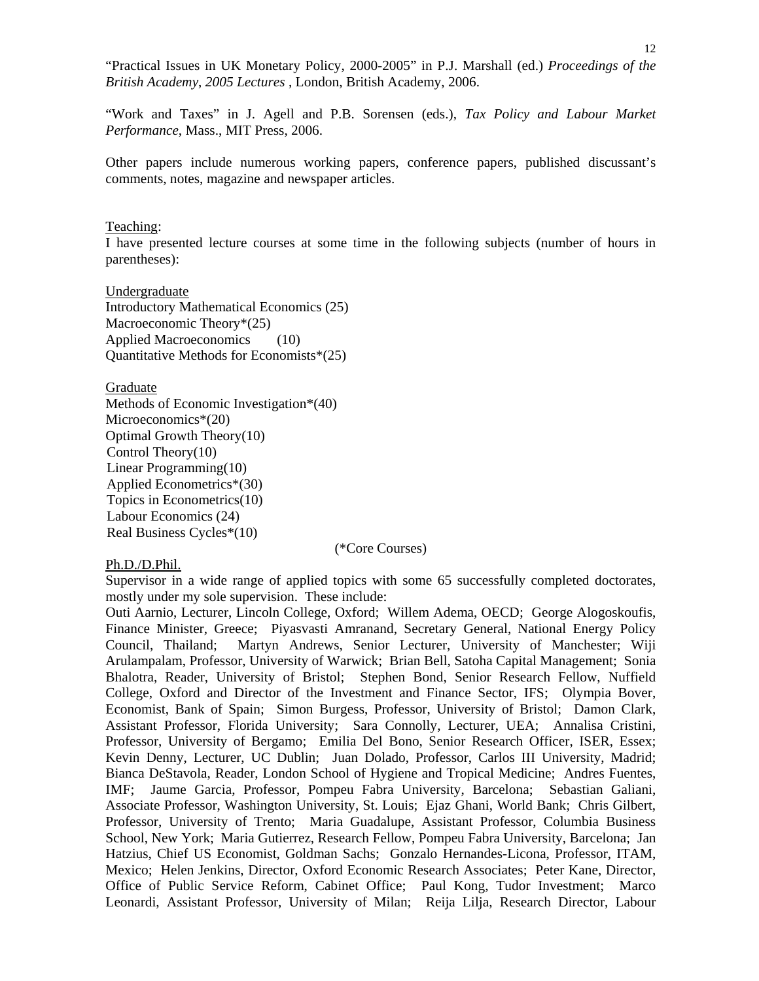"Practical Issues in UK Monetary Policy, 2000-2005" in P.J. Marshall (ed.) *Proceedings of the British Academy*, *2005 Lectures* , London, British Academy, 2006.

"Work and Taxes" in J. Agell and P.B. Sorensen (eds.), *Tax Policy and Labour Market Performance*, Mass., MIT Press, 2006.

Other papers include numerous working papers, conference papers, published discussant's comments, notes, magazine and newspaper articles.

#### Teaching:

I have presented lecture courses at some time in the following subjects (number of hours in parentheses):

Undergraduate Introductory Mathematical Economics (25) Macroeconomic Theory\*(25) Applied Macroeconomics (10) Quantitative Methods for Economists\*(25)

Graduate

Methods of Economic Investigation\*(40) Microeconomics\*(20) Optimal Growth Theory(10) Control Theory(10) Linear Programming(10) Applied Econometrics\*(30) Topics in Econometrics(10) Labour Economics (24) Real Business Cycles\*(10)

(\*Core Courses)

## Ph.D./D.Phil.

Supervisor in a wide range of applied topics with some 65 successfully completed doctorates, mostly under my sole supervision. These include:

Outi Aarnio, Lecturer, Lincoln College, Oxford; Willem Adema, OECD; George Alogoskoufis, Finance Minister, Greece; Piyasvasti Amranand, Secretary General, National Energy Policy Council, Thailand; Martyn Andrews, Senior Lecturer, University of Manchester; Wiji Arulampalam, Professor, University of Warwick; Brian Bell, Satoha Capital Management; Sonia Bhalotra, Reader, University of Bristol; Stephen Bond, Senior Research Fellow, Nuffield College, Oxford and Director of the Investment and Finance Sector, IFS; Olympia Bover, Economist, Bank of Spain; Simon Burgess, Professor, University of Bristol; Damon Clark, Assistant Professor, Florida University; Sara Connolly, Lecturer, UEA; Annalisa Cristini, Professor, University of Bergamo; Emilia Del Bono, Senior Research Officer, ISER, Essex; Kevin Denny, Lecturer, UC Dublin; Juan Dolado, Professor, Carlos III University, Madrid; Bianca DeStavola, Reader, London School of Hygiene and Tropical Medicine; Andres Fuentes, IMF; Jaume Garcia, Professor, Pompeu Fabra University, Barcelona; Sebastian Galiani, Associate Professor, Washington University, St. Louis; Ejaz Ghani, World Bank; Chris Gilbert, Professor, University of Trento; Maria Guadalupe, Assistant Professor, Columbia Business School, New York; Maria Gutierrez, Research Fellow, Pompeu Fabra University, Barcelona; Jan Hatzius, Chief US Economist, Goldman Sachs; Gonzalo Hernandes-Licona, Professor, ITAM, Mexico; Helen Jenkins, Director, Oxford Economic Research Associates; Peter Kane, Director, Office of Public Service Reform, Cabinet Office; Paul Kong, Tudor Investment; Marco Leonardi, Assistant Professor, University of Milan; Reija Lilja, Research Director, Labour